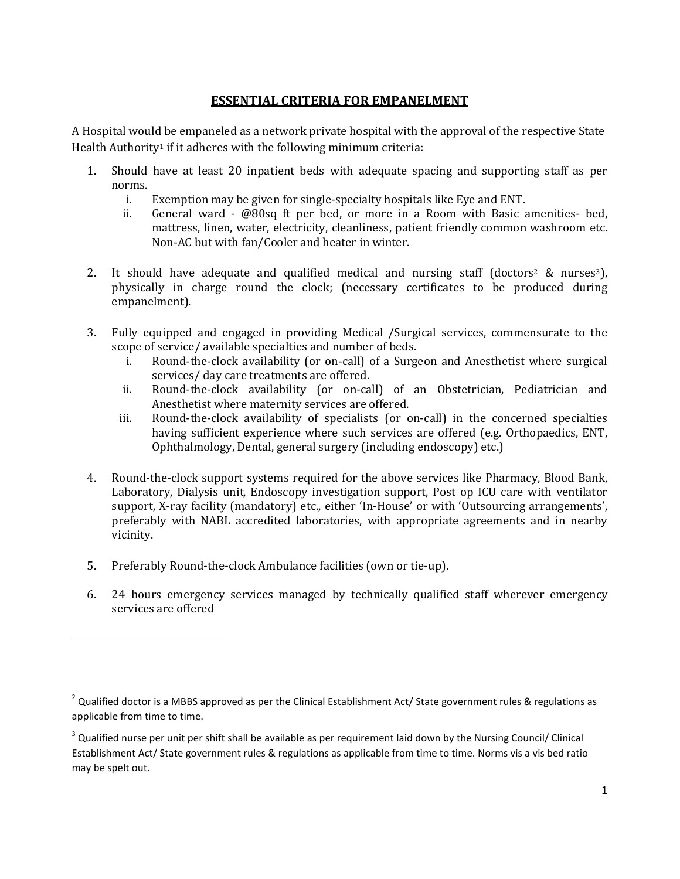## **ESSENTIAL CRITERIA FOR EMPANELMENT**

A Hospital would be empaneled as a network private hospital with the approval of the respective State Health Authority<sup>1</sup> if it adheres with the following minimum criteria:

- 1. Should have at least 20 inpatient beds with adequate spacing and supporting staff as per norms.
	- i. Exemption may be given for single-specialty hospitals like Eye and ENT.
	- ii. General ward @80sq ft per bed, or more in a Room with Basic amenities- bed, mattress, linen, water, electricity, cleanliness, patient friendly common washroom etc. Non-AC but with fan/Cooler and heater in winter.
- 2. It should have adequate and qualified medical and nursing staff (doctors<sup>2</sup> & nurses<sup>3</sup>), physically in charge round the clock; (necessary certificates to be produced during empanelment).
- 3. Fully equipped and engaged in providing Medical /Surgical services, commensurate to the scope of service/ available specialties and number of beds.
	- i. Round-the-clock availability (or on-call) of a Surgeon and Anesthetist where surgical services/ day care treatments are offered.
	- ii. Round-the-clock availability (or on-call) of an Obstetrician, Pediatrician and Anesthetist where maternity services are offered.
	- iii. Round-the-clock availability of specialists (or on-call) in the concerned specialties having sufficient experience where such services are offered (e.g. Orthopaedics, ENT, Ophthalmology, Dental, general surgery (including endoscopy) etc.)
- 4. Round-the-clock support systems required for the above services like Pharmacy, Blood Bank, Laboratory, Dialysis unit, Endoscopy investigation support, Post op ICU care with ventilator support, X-ray facility (mandatory) etc., either 'In-House' or with 'Outsourcing arrangements', preferably with NABL accredited laboratories, with appropriate agreements and in nearby vicinity.
- 5. Preferably Round-the-clock Ambulance facilities (own or tie-up).

l

6. 24 hours emergency services managed by technically qualified staff wherever emergency services are offered

<sup>&</sup>lt;sup>2</sup> Qualified doctor is a MBBS approved as per the Clinical Establishment Act/ State government rules & regulations as applicable from time to time.

 $3$  Qualified nurse per unit per shift shall be available as per requirement laid down by the Nursing Council/ Clinical Establishment Act/ State government rules & regulations as applicable from time to time. Norms vis a vis bed ratio may be spelt out.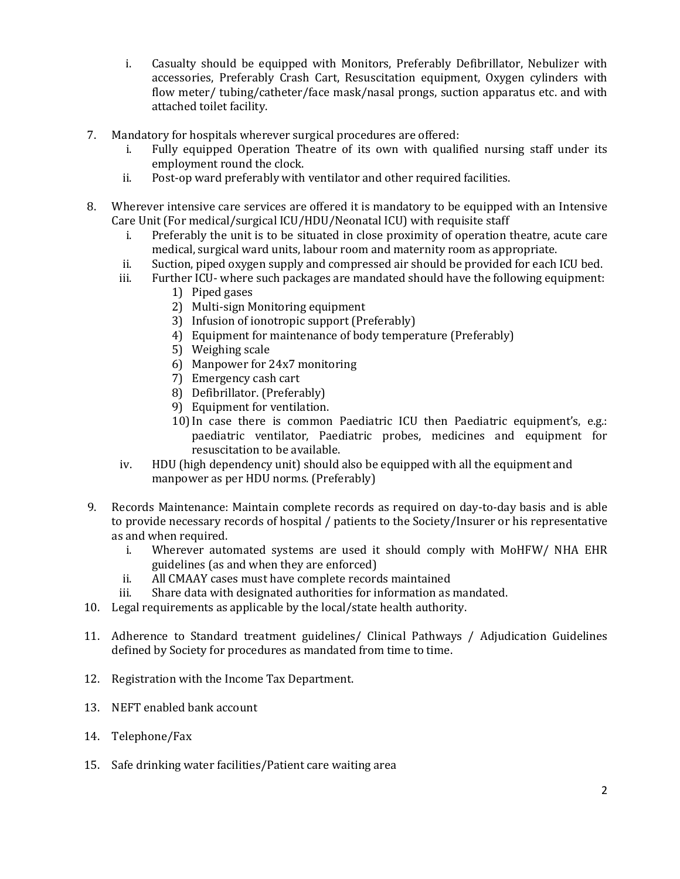- i. Casualty should be equipped with Monitors, Preferably Defibrillator, Nebulizer with accessories, Preferably Crash Cart, Resuscitation equipment, Oxygen cylinders with flow meter/ tubing/catheter/face mask/nasal prongs, suction apparatus etc. and with attached toilet facility.
- 7. Mandatory for hospitals wherever surgical procedures are offered:
	- i. Fully equipped Operation Theatre of its own with qualified nursing staff under its employment round the clock.
	- ii. Post-op ward preferably with ventilator and other required facilities.
- 8. Wherever intensive care services are offered it is mandatory to be equipped with an Intensive Care Unit (For medical/surgical ICU/HDU/Neonatal ICU) with requisite staff
	- i. Preferably the unit is to be situated in close proximity of operation theatre, acute care medical, surgical ward units, labour room and maternity room as appropriate.
	- ii. Suction, piped oxygen supply and compressed air should be provided for each ICU bed.
	- iii. Further ICU- where such packages are mandated should have the following equipment:
		- 1) Piped gases
		- 2) Multi-sign Monitoring equipment
		- 3) Infusion of ionotropic support (Preferably)
		- 4) Equipment for maintenance of body temperature (Preferably)
		- 5) Weighing scale
		- 6) Manpower for 24x7 monitoring
		- 7) Emergency cash cart
		- 8) Defibrillator. (Preferably)
		- 9) Equipment for ventilation.
		- 10)In case there is common Paediatric ICU then Paediatric equipment's, e.g.: paediatric ventilator, Paediatric probes, medicines and equipment for resuscitation to be available.
	- iv. HDU (high dependency unit) should also be equipped with all the equipment and manpower as per HDU norms. (Preferably)
- 9. Records Maintenance: Maintain complete records as required on day-to-day basis and is able to provide necessary records of hospital / patients to the Society/Insurer or his representative as and when required.
	- i. Wherever automated systems are used it should comply with MoHFW/ NHA EHR guidelines (as and when they are enforced)
	- ii. All CMAAY cases must have complete records maintained
	- iii. Share data with designated authorities for information as mandated.
- 10. Legal requirements as applicable by the local/state health authority.
- 11. Adherence to Standard treatment guidelines/ Clinical Pathways / Adjudication Guidelines defined by Society for procedures as mandated from time to time.
- 12. Registration with the Income Tax Department.
- 13. NEFT enabled bank account
- 14. Telephone/Fax
- 15. Safe drinking water facilities/Patient care waiting area